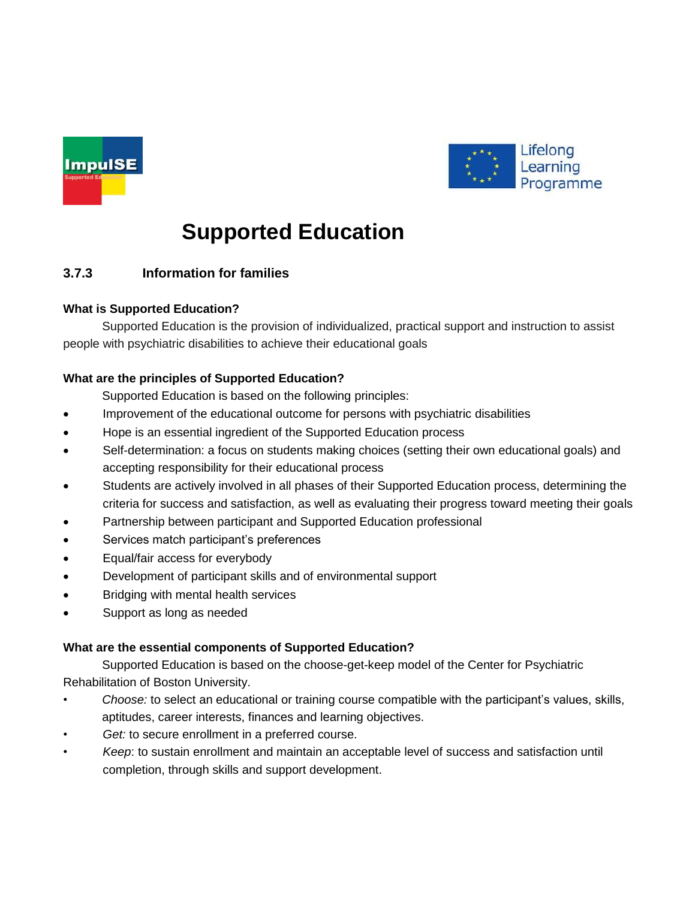



# **Supported Education**

# **3.7.3 Information for families**

## **What is Supported Education?**

Supported Education is the provision of individualized, practical support and instruction to assist people with psychiatric disabilities to achieve their educational goals

## **What are the principles of Supported Education?**

Supported Education is based on the following principles:

- Improvement of the educational outcome for persons with psychiatric disabilities
- Hope is an essential ingredient of the Supported Education process
- Self-determination: a focus on students making choices (setting their own educational goals) and accepting responsibility for their educational process
- Students are actively involved in all phases of their Supported Education process, determining the criteria for success and satisfaction, as well as evaluating their progress toward meeting their goals
- Partnership between participant and Supported Education professional
- Services match participant's preferences
- Equal/fair access for everybody
- Development of participant skills and of environmental support
- Bridging with mental health services
- Support as long as needed

#### **What are the essential components of Supported Education?**

Supported Education is based on the choose-get-keep model of the Center for Psychiatric Rehabilitation of Boston University.

- *Choose:* to select an educational or training course compatible with the participant's values, skills, aptitudes, career interests, finances and learning objectives.
- Get: to secure enrollment in a preferred course.
- *Keep*: to sustain enrollment and maintain an acceptable level of success and satisfaction until completion, through skills and support development.